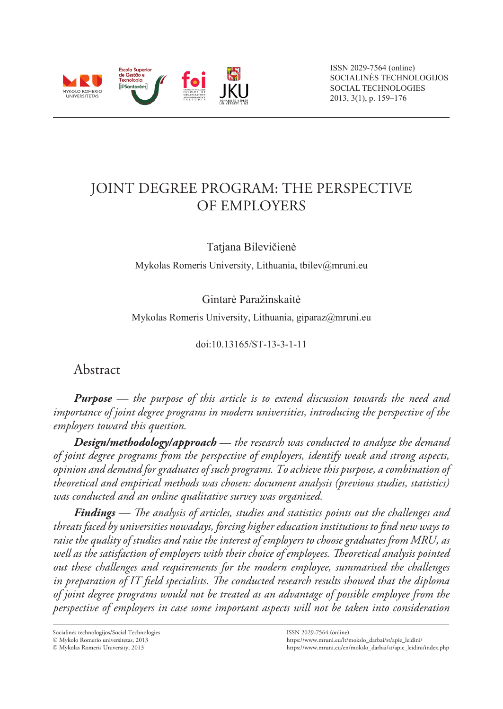

# Joint Degree Program: the Perspective of Employers

Tatjana Bilevičienė

Mykolas Romeris University, Lithuania, tbilev@mruni.eu

Gintarė Paražinskaitė

Mykolas Romeris University, Lithuania, giparaz@mruni.eu

doi:10.13165/ST-13-3-1-11

Abstract

*Purpose — the purpose of this article is to extend discussion towards the need and importance of joint degree programs in modern universities, introducing the perspective of the employers toward this question.*

*Design/methodology/approach* **—** *the research was conducted to analyze the demand of joint degree programs from the perspective of employers, identify weak and strong aspects, opinion and demand for graduates of such programs. To achieve this purpose, a combination of theoretical and empirical methods was chosen: document analysis (previous studies, statistics) was conducted and an online qualitative survey was organized.* 

*Findings — The analysis of articles, studies and statistics points out the challenges and threats faced by universities nowadays, forcing higher education institutions to find new ways to raise the quality of studies and raise the interest of employers to choose graduates from MRU, as well as the satisfaction of employers with their choice of employees. Theoretical analysis pointed out these challenges and requirements for the modern employee, summarised the challenges in preparation of IT field specialists. The conducted research results showed that the diploma of joint degree programs would not be treated as an advantage of possible employee from the perspective of employers in case some important aspects will not be taken into consideration* 

Socialinės technologijos/Social Technologies

Mykolo Romerio universitetas, 2013

Mykolas Romeris University, 2013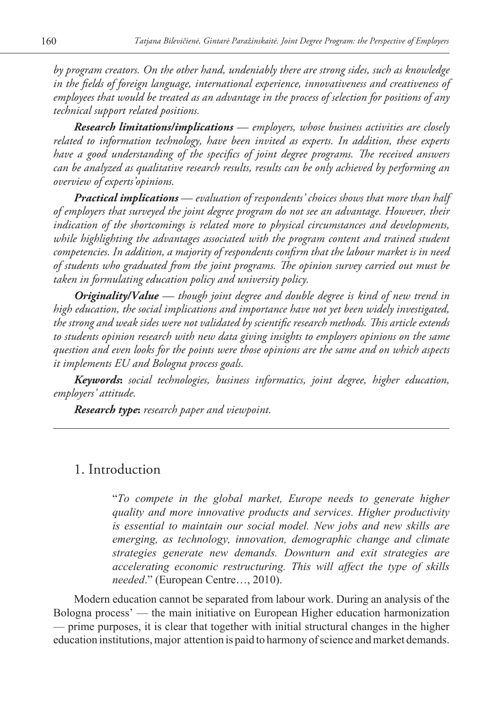*by program creators. On the other hand, undeniably there are strong sides, such as knowledge in the fields of foreign language, international experience, innovativeness and creativeness of employees that would be treated as an advantage in the process of selection for positions of any technical support related positions.* 

*Research limitations/implications — employers, whose business activities are closely related to information technology, have been invited as experts. In addition, these experts have a good understanding of the specifics of joint degree programs. The received answers can be analyzed as qualitative research results, results can be only achieved by performing an overview of experts'opinions.* 

*Practical implications — evaluation of respondents' choices shows that more than half of employers that surveyed the joint degree program do not see an advantage. However, their indication of the shortcomings is related more to physical circumstances and developments,*  while highlighting the advantages associated with the program content and trained student *competencies. In addition, a majority of respondents confirm that the labour market is in need of students who graduated from the joint programs. The opinion survey carried out must be taken in formulating education policy and university policy.*

*Originality/Value — though joint degree and double degree is kind of new trend in high education, the social implications and importance have not yet been widely investigated, the strong and weak sides were not validated by scientific research methods. This article extends to students opinion research with new data giving insights to employers opinions on the same question and even looks for the points were those opinions are the same and on which aspects it implements EU and Bologna process goals.*

*Keywords***:** *social technologies, business informatics, joint degree, higher education, employers' attitude.*

*Research type***:** *research paper and viewpoint.*

# 1. Introduction

"*To compete in the global market, Europe needs to generate higher quality and more innovative products and services. Higher productivity is essential to maintain our social model. New jobs and new skills are emerging, as technology, innovation, demographic change and climate strategies generate new demands. Downturn and exit strategies are accelerating economic restructuring. This will affect the type of skills needed*." (European Centre…, 2010).

Modern education cannot be separated from labour work. During an analysis of the Bologna process' — the main initiative on European Higher education harmonization — prime purposes, it is clear that together with initial structural changes in the higher education institutions, major attention is paid to harmony of science and market demands.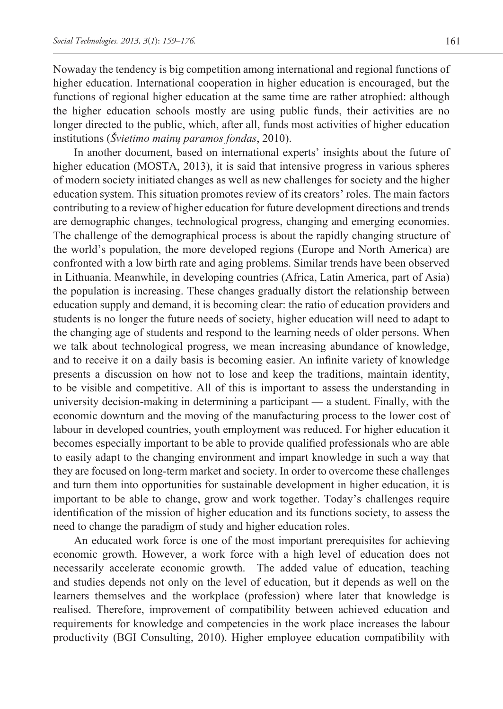Nowaday the tendency is big competition among international and regional functions of higher education. International cooperation in higher education is encouraged, but the functions of regional higher education at the same time are rather atrophied: although the higher education schools mostly are using public funds, their activities are no longer directed to the public, which, after all, funds most activities of higher education institutions (*Švietimo mainų paramos fondas*, 2010).

In another document, based on international experts' insights about the future of higher education (MOSTA, 2013), it is said that intensive progress in various spheres of modern society initiated changes as well as new challenges for society and the higher education system. This situation promotes review of its creators' roles. The main factors contributing to a review of higher education for future development directions and trends are demographic changes, technological progress, changing and emerging economies. The challenge of the demographical process is about the rapidly changing structure of the world's population, the more developed regions (Europe and North America) are confronted with a low birth rate and aging problems. Similar trends have been observed in Lithuania. Meanwhile, in developing countries (Africa, Latin America, part of Asia) the population is increasing. These changes gradually distort the relationship between education supply and demand, it is becoming clear: the ratio of education providers and students is no longer the future needs of society, higher education will need to adapt to the changing age of students and respond to the learning needs of older persons. When we talk about technological progress, we mean increasing abundance of knowledge, and to receive it on a daily basis is becoming easier. An infinite variety of knowledge presents a discussion on how not to lose and keep the traditions, maintain identity, to be visible and competitive. All of this is important to assess the understanding in university decision-making in determining a participant — a student. Finally, with the economic downturn and the moving of the manufacturing process to the lower cost of labour in developed countries, youth employment was reduced. For higher education it becomes especially important to be able to provide qualified professionals who are able to easily adapt to the changing environment and impart knowledge in such a way that they are focused on long-term market and society. In order to overcome these challenges and turn them into opportunities for sustainable development in higher education, it is important to be able to change, grow and work together. Today's challenges require identification of the mission of higher education and its functions society, to assess the need to change the paradigm of study and higher education roles.

An educated work force is one of the most important prerequisites for achieving economic growth. However, a work force with a high level of education does not necessarily accelerate economic growth. The added value of education, teaching and studies depends not only on the level of education, but it depends as well on the learners themselves and the workplace (profession) where later that knowledge is realised. Therefore, improvement of compatibility between achieved education and requirements for knowledge and competencies in the work place increases the labour productivity (BGI Consulting, 2010). Higher employee education compatibility with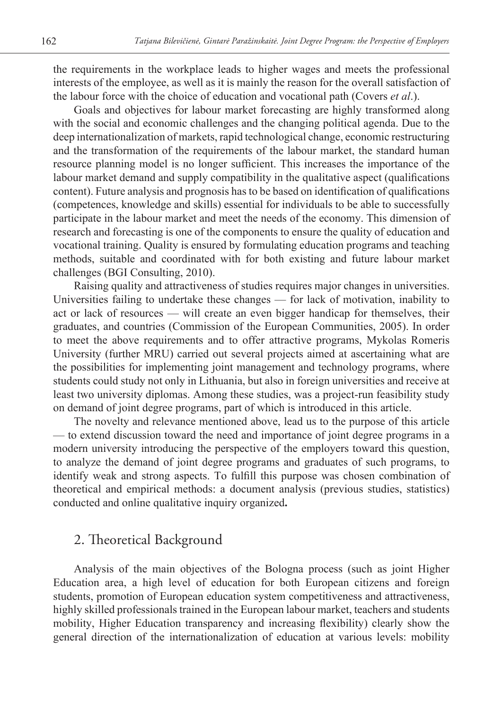the requirements in the workplace leads to higher wages and meets the professional interests of the employee, as well as it is mainly the reason for the overall satisfaction of the labour force with the choice of education and vocational path (Covers *et al*.).

Goals and objectives for labour market forecasting are highly transformed along with the social and economic challenges and the changing political agenda. Due to the deep internationalization of markets, rapid technological change, economic restructuring and the transformation of the requirements of the labour market, the standard human resource planning model is no longer sufficient. This increases the importance of the labour market demand and supply compatibility in the qualitative aspect (qualifications content). Future analysis and prognosis has to be based on identification of qualifications (competences, knowledge and skills) essential for individuals to be able to successfully participate in the labour market and meet the needs of the economy. This dimension of research and forecasting is one of the components to ensure the quality of education and vocational training. Quality is ensured by formulating education programs and teaching methods, suitable and coordinated with for both existing and future labour market challenges (BGI Consulting, 2010).

Raising quality and attractiveness of studies requires major changes in universities. Universities failing to undertake these changes — for lack of motivation, inability to act or lack of resources — will create an even bigger handicap for themselves, their graduates, and countries (Commission of the European Communities, 2005). In order to meet the above requirements and to offer attractive programs, Mykolas Romeris University (further MRU) carried out several projects aimed at ascertaining what are the possibilities for implementing joint management and technology programs, where students could study not only in Lithuania, but also in foreign universities and receive at least two university diplomas. Among these studies, was a project-run feasibility study on demand of joint degree programs, part of which is introduced in this article.

The novelty and relevance mentioned above, lead us to the purpose of this article — to extend discussion toward the need and importance of joint degree programs in a modern university introducing the perspective of the employers toward this question, to analyze the demand of joint degree programs and graduates of such programs, to identify weak and strong aspects. To fulfill this purpose was chosen combination of theoretical and empirical methods: a document analysis (previous studies, statistics) conducted and online qualitative inquiry organized**.**

# 2. Theoretical Background

Analysis of the main objectives of the Bologna process (such as joint Higher Education area, a high level of education for both European citizens and foreign students, promotion of European education system competitiveness and attractiveness, highly skilled professionals trained in the European labour market, teachers and students mobility, Higher Education transparency and increasing flexibility) clearly show the general direction of the internationalization of education at various levels: mobility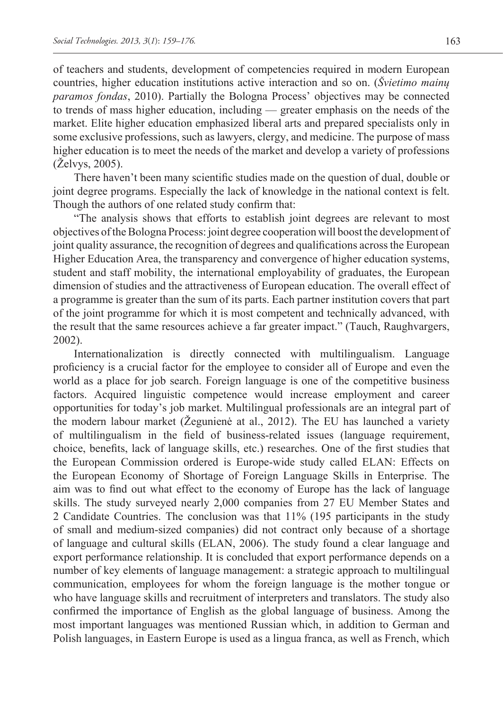of teachers and students, development of competencies required in modern European countries, higher education institutions active interaction and so on. (*Švietimo mainų paramos fondas*, 2010). Partially the Bologna Process' objectives may be connected to trends of mass higher education, including — greater emphasis on the needs of the market. Elite higher education emphasized liberal arts and prepared specialists only in some exclusive professions, such as lawyers, clergy, and medicine. The purpose of mass higher education is to meet the needs of the market and develop a variety of professions (Želvys, 2005).

There haven't been many scientific studies made on the question of dual, double or joint degree programs. Especially the lack of knowledge in the national context is felt. Though the authors of one related study confirm that:

"The analysis shows that efforts to establish joint degrees are relevant to most objectives of the Bologna Process: joint degree cooperation will boost the development of joint quality assurance, the recognition of degrees and qualifications across the European Higher Education Area, the transparency and convergence of higher education systems, student and staff mobility, the international employability of graduates, the European dimension of studies and the attractiveness of European education. The overall effect of a programme is greater than the sum of its parts. Each partner institution covers that part of the joint programme for which it is most competent and technically advanced, with the result that the same resources achieve a far greater impact." (Tauch, Raughvargers, 2002).

Internationalization is directly connected with multilingualism. Language proficiency is a crucial factor for the employee to consider all of Europe and even the world as a place for job search. Foreign language is one of the competitive business factors. Acquired linguistic competence would increase employment and career opportunities for today's job market. Multilingual professionals are an integral part of the modern labour market (Žegunienė at al., 2012). The EU has launched a variety of multilingualism in the field of business-related issues (language requirement, choice, benefits, lack of language skills, etc.) researches. One of the first studies that the European Commission ordered is Europe-wide study called ELAN: Effects on the European Economy of Shortage of Foreign Language Skills in Enterprise. The aim was to find out what effect to the economy of Europe has the lack of language skills. The study surveyed nearly 2,000 companies from 27 EU Member States and 2 Candidate Countries. The conclusion was that 11% (195 participants in the study of small and medium-sized companies) did not contract only because of a shortage of language and cultural skills (ELAN, 2006). The study found a clear language and export performance relationship. It is concluded that export performance depends on a number of key elements of language management: a strategic approach to multilingual communication, employees for whom the foreign language is the mother tongue or who have language skills and recruitment of interpreters and translators. The study also confirmed the importance of English as the global language of business. Among the most important languages was mentioned Russian which, in addition to German and Polish languages, in Eastern Europe is used as a lingua franca, as well as French, which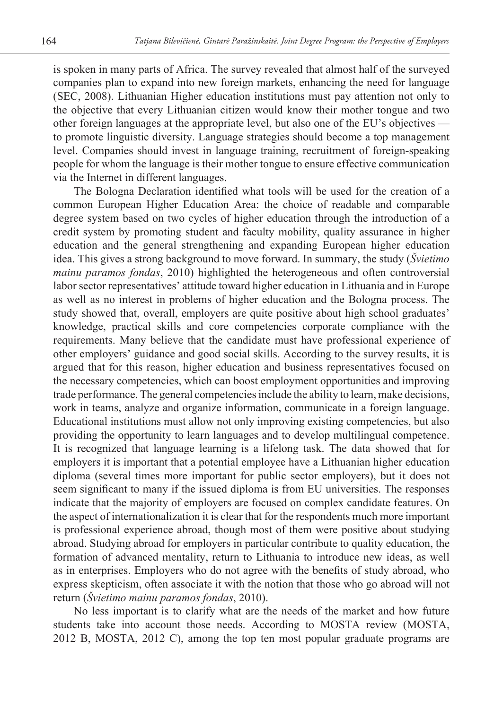is spoken in many parts of Africa. The survey revealed that almost half of the surveyed companies plan to expand into new foreign markets, enhancing the need for language (SEC, 2008). Lithuanian Higher education institutions must pay attention not only to the objective that every Lithuanian citizen would know their mother tongue and two other foreign languages at the appropriate level, but also one of the EU's objectives to promote linguistic diversity. Language strategies should become a top management level. Companies should invest in language training, recruitment of foreign-speaking people for whom the language is their mother tongue to ensure effective communication via the Internet in different languages.

The Bologna Declaration identified what tools will be used for the creation of a common European Higher Education Area: the choice of readable and comparable degree system based on two cycles of higher education through the introduction of a credit system by promoting student and faculty mobility, quality assurance in higher education and the general strengthening and expanding European higher education idea. This gives a strong background to move forward. In summary, the study (*Švietimo mainu paramos fondas*, 2010) highlighted the heterogeneous and often controversial labor sector representatives' attitude toward higher education in Lithuania and in Europe as well as no interest in problems of higher education and the Bologna process. The study showed that, overall, employers are quite positive about high school graduates' knowledge, practical skills and core competencies corporate compliance with the requirements. Many believe that the candidate must have professional experience of other employers' guidance and good social skills. According to the survey results, it is argued that for this reason, higher education and business representatives focused on the necessary competencies, which can boost employment opportunities and improving trade performance. The general competencies include the ability to learn, make decisions, work in teams, analyze and organize information, communicate in a foreign language. Educational institutions must allow not only improving existing competencies, but also providing the opportunity to learn languages and to develop multilingual competence. It is recognized that language learning is a lifelong task. The data showed that for employers it is important that a potential employee have a Lithuanian higher education diploma (several times more important for public sector employers), but it does not seem significant to many if the issued diploma is from EU universities. The responses indicate that the majority of employers are focused on complex candidate features. On the aspect of internationalization it is clear that for the respondents much more important is professional experience abroad, though most of them were positive about studying abroad. Studying abroad for employers in particular contribute to quality education, the formation of advanced mentality, return to Lithuania to introduce new ideas, as well as in enterprises. Employers who do not agree with the benefits of study abroad, who express skepticism, often associate it with the notion that those who go abroad will not return (*Švietimo mainu paramos fondas*, 2010).

No less important is to clarify what are the needs of the market and how future students take into account those needs. According to MOSTA review (MOSTA, 2012 B, MOSTA, 2012 C), among the top ten most popular graduate programs are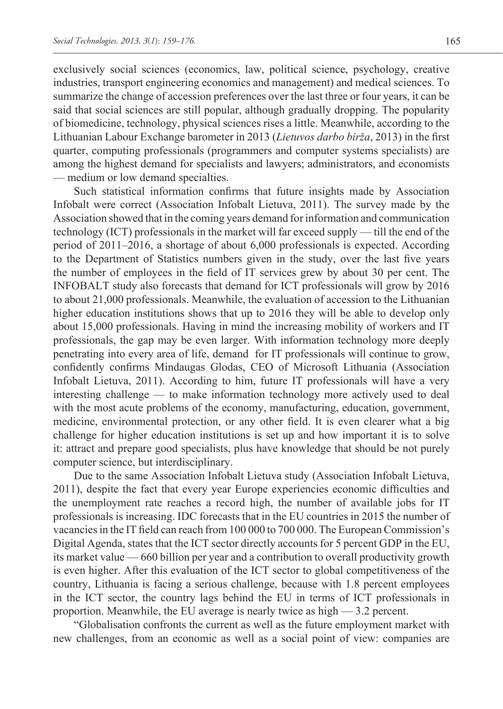exclusively social sciences (economics, law, political science, psychology, creative industries, transport engineering economics and management) and medical sciences. To summarize the change of accession preferences over the last three or four years, it can be said that social sciences are still popular, although gradually dropping. The popularity of biomedicine, technology, physical sciences rises a little. Meanwhile, according to the Lithuanian Labour Exchange barometer in 2013 (*Lietuvos darbo birža*, 2013) in the first quarter, computing professionals (programmers and computer systems specialists) are among the highest demand for specialists and lawyers; administrators, and economists — medium or low demand specialties.

Such statistical information confirms that future insights made by Association Infobalt were correct (Association Infobalt Lietuva, 2011). The survey made by the Association showed that in the coming years demand for information and communication technology (ICT) professionals in the market will far exceed supply — till the end of the period of 2011–2016, a shortage of about 6,000 professionals is expected. According to the Department of Statistics numbers given in the study, over the last five years the number of employees in the field of IT services grew by about 30 per cent. The INFOBALT study also forecasts that demand for ICT professionals will grow by 2016 to about 21,000 professionals. Meanwhile, the evaluation of accession to the Lithuanian higher education institutions shows that up to 2016 they will be able to develop only about 15,000 professionals. Having in mind the increasing mobility of workers and IT professionals, the gap may be even larger. With information technology more deeply penetrating into every area of life, demand for IT professionals will continue to grow, confidently confirms Mindaugas Glodas, CEO of Microsoft Lithuania (Association Infobalt Lietuva, 2011). According to him, future IT professionals will have a very interesting challenge — to make information technology more actively used to deal with the most acute problems of the economy, manufacturing, education, government, medicine, environmental protection, or any other field. It is even clearer what a big challenge for higher education institutions is set up and how important it is to solve it: attract and prepare good specialists, plus have knowledge that should be not purely computer science, but interdisciplinary.

Due to the same Association Infobalt Lietuva study (Association Infobalt Lietuva, 2011), despite the fact that every year Europe experiencies economic difficulties and the unemployment rate reaches a record high, the number of available jobs for IT professionals is increasing. IDC forecasts that in the EU countries in 2015 the number of vacancies in the IT field can reach from 100 000 to 700 000. The European Commission's Digital Agenda, states that the ICT sector directly accounts for 5 percent GDP in the EU, its market value — 660 billion per year and a contribution to overall productivity growth is even higher. After this evaluation of the ICT sector to global competitiveness of the country, Lithuania is facing a serious challenge, because with 1.8 percent employees in the ICT sector, the country lags behind the EU in terms of ICT professionals in proportion. Meanwhile, the EU average is nearly twice as high — 3.2 percent.

"Globalisation confronts the current as well as the future employment market with new challenges, from an economic as well as a social point of view: companies are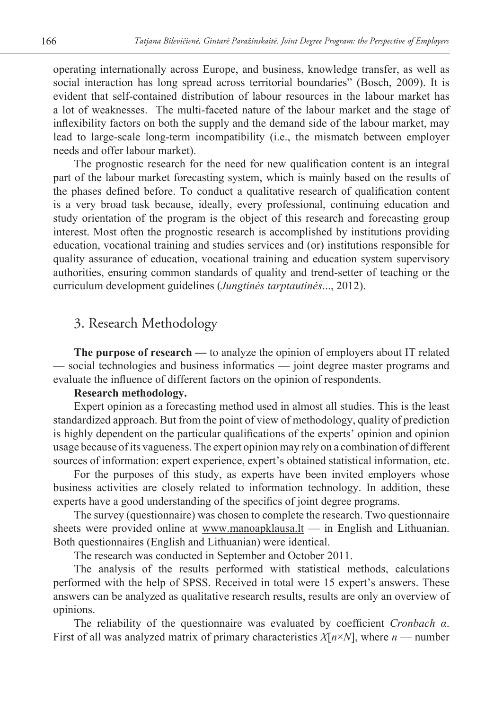operating internationally across Europe, and business, knowledge transfer, as well as social interaction has long spread across territorial boundaries" (Bosch, 2009). It is evident that self-contained distribution of labour resources in the labour market has a lot of weaknesses. The multi-faceted nature of the labour market and the stage of inflexibility factors on both the supply and the demand side of the labour market, may lead to large-scale long-term incompatibility (i.e., the mismatch between employer needs and offer labour market).

The prognostic research for the need for new qualification content is an integral part of the labour market forecasting system, which is mainly based on the results of the phases defined before. To conduct a qualitative research of qualification content is a very broad task because, ideally, every professional, continuing education and study orientation of the program is the object of this research and forecasting group interest. Most often the prognostic research is accomplished by institutions providing education, vocational training and studies services and (or) institutions responsible for quality assurance of education, vocational training and education system supervisory authorities, ensuring common standards of quality and trend-setter of teaching or the curriculum development guidelines (*Jungtinės tarptautinės*..., 2012).

# 3. Research Methodology

**The purpose of research —** to analyze the opinion of employers about IT related — social technologies and business informatics — joint degree master programs and evaluate the influence of different factors on the opinion of respondents.

#### **Research methodology.**

Expert opinion as a forecasting method used in almost all studies. This is the least standardized approach. But from the point of view of methodology, quality of prediction is highly dependent on the particular qualifications of the experts' opinion and opinion usage because of its vagueness. The expert opinion may rely on a combination of different sources of information: expert experience, expert's obtained statistical information, etc.

For the purposes of this study, as experts have been invited employers whose business activities are closely related to information technology. In addition, these experts have a good understanding of the specifics of joint degree programs.

The survey (questionnaire) was chosen to complete the research. Two questionnaire sheets were provided online at www.manoapklausa.lt — in English and Lithuanian. Both questionnaires (English and Lithuanian) were identical.

The research was conducted in September and October 2011.

The analysis of the results performed with statistical methods, calculations performed with the help of SPSS. Received in total were 15 expert's answers. These answers can be analyzed as qualitative research results, results are only an overview of opinions.

The reliability of the questionnaire was evaluated by coefficient *Cronbach α*. First of all was analyzed matrix of primary characteristics *X*[*n*×*N*], where *n* — number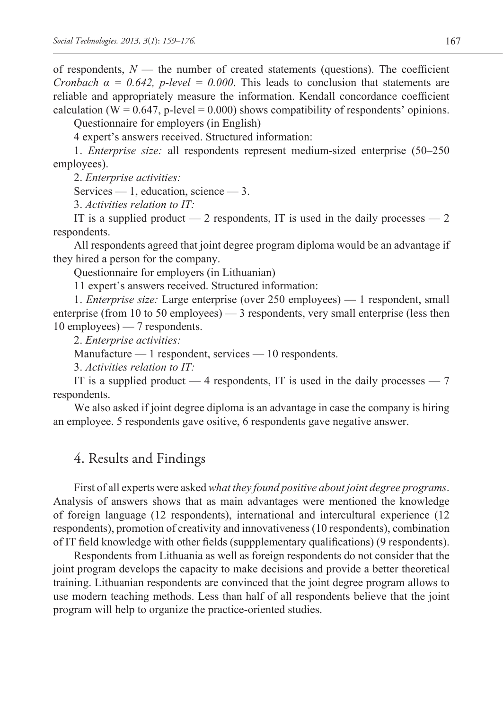of respondents,  $N$  — the number of created statements (questions). The coefficient *Cronbach*  $\alpha = 0.642$ *, p-level* = 0.000. This leads to conclusion that statements are reliable and appropriately measure the information. Kendall concordance coefficient calculation ( $W = 0.647$ , p-level = 0.000) shows compatibility of respondents' opinions.

Questionnaire for employers (in English)

4 expert's answers received. Structured information:

1. *Enterprise size:* all respondents represent medium-sized enterprise (50–250 employees).

2. *Enterprise activities:*

Services — 1, education, science — 3.

3. *Activities relation to IT:*

IT is a supplied product  $-2$  respondents, IT is used in the daily processes  $-2$ respondents.

All respondents agreed that joint degree program diploma would be an advantage if they hired a person for the company.

Questionnaire for employers (in Lithuanian)

11 expert's answers received. Structured information:

1. *Enterprise size:* Large enterprise (over 250 employees) — 1 respondent, small enterprise (from 10 to 50 employees) — 3 respondents, very small enterprise (less then 10 employees) — 7 respondents.

2. *Enterprise activities:*

Manufacture — 1 respondent, services — 10 respondents.

3. *Activities relation to IT:*

IT is a supplied product  $-4$  respondents, IT is used in the daily processes  $-7$ respondents.

We also asked if joint degree diploma is an advantage in case the company is hiring an employee. 5 respondents gave ositive, 6 respondents gave negative answer.

# 4. Results and Findings

First of all experts were asked *what they found positive about joint degree programs*. Analysis of answers shows that as main advantages were mentioned the knowledge of foreign language (12 respondents), international and intercultural experience (12 respondents), promotion of creativity and innovativeness (10 respondents), combination of IT field knowledge with other fields (suppplementary qualifications) (9 respondents).

Respondents from Lithuania as well as foreign respondents do not consider that the joint program develops the capacity to make decisions and provide a better theoretical training. Lithuanian respondents are convinced that the joint degree program allows to use modern teaching methods. Less than half of all respondents believe that the joint program will help to organize the practice-oriented studies.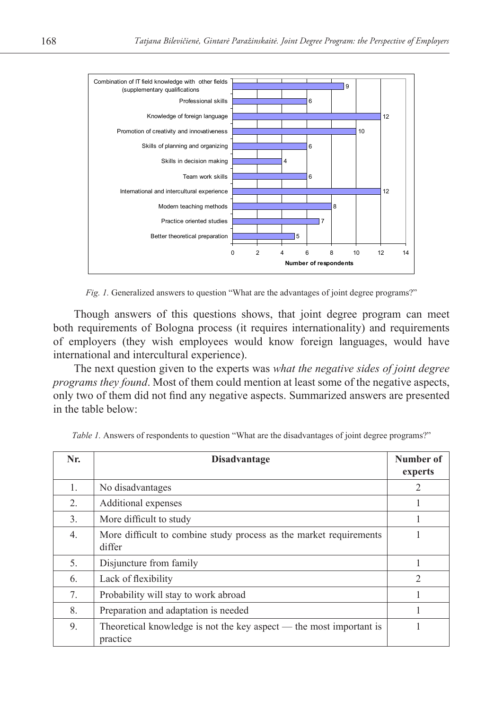

*Fig. 1.* Generalized answers to question "What are the advantages of joint degree programs?"

Though answers of this questions shows, that joint degree program can meet both requirements of Bologna process (it requires internationality) and requirements of employers (they wish employees would know foreign languages, would have international and intercultural experience).

The next question given to the experts was *what the negative sides of joint degree programs they found*. Most of them could mention at least some of the negative aspects, only two of them did not find any negative aspects. Summarized answers are presented in the table below:

| Nr.                              | <b>Disadvantage</b>                                                             | Number of<br>experts |
|----------------------------------|---------------------------------------------------------------------------------|----------------------|
| $\mathbf{1}_{\cdot}$             | No disadvantages                                                                | 2                    |
| 2.                               | Additional expenses                                                             | л.                   |
| 3.                               | More difficult to study                                                         |                      |
| 4.                               | More difficult to combine study process as the market requirements<br>differ    |                      |
| 5.                               | Disjuncture from family                                                         |                      |
| 6.                               | Lack of flexibility                                                             | $\mathfrak{D}$       |
| $7_{\scriptscriptstyle{\ddots}}$ | Probability will stay to work abroad                                            |                      |
| 8.                               | Preparation and adaptation is needed                                            |                      |
| 9.                               | Theoretical knowledge is not the key aspect — the most important is<br>practice |                      |

*Table 1.* Answers of respondents to question "What are the disadvantages of joint degree programs?"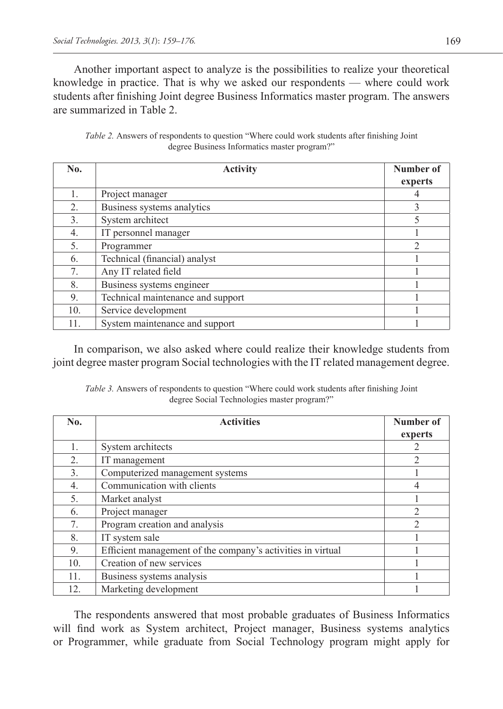Another important aspect to analyze is the possibilities to realize your theoretical knowledge in practice. That is why we asked our respondents — where could work students after finishing Joint degree Business Informatics master program. The answers are summarized in Table 2.

| <i>Table 2.</i> Answers of respondents to question "Where could work students after finishing Joint" |  |  |
|------------------------------------------------------------------------------------------------------|--|--|
| degree Business Informatics master program?"                                                         |  |  |

| No.              | <b>Activity</b>                   | <b>Number of</b> |  |
|------------------|-----------------------------------|------------------|--|
|                  |                                   | experts          |  |
| 1.               | Project manager                   |                  |  |
| 2.               | Business systems analytics        | 3                |  |
| 3.               | System architect                  | 5                |  |
| $\overline{4}$ . | IT personnel manager              |                  |  |
| 5.               | Programmer                        | $\mathfrak{D}$   |  |
| 6.               | Technical (financial) analyst     |                  |  |
| 7.               | Any IT related field              |                  |  |
| 8.               | Business systems engineer         |                  |  |
| 9.               | Technical maintenance and support |                  |  |
| 10.              | Service development               |                  |  |
| 11.              | System maintenance and support    |                  |  |

In comparison, we also asked where could realize their knowledge students from joint degree master program Social technologies with the IT related management degree.

*Table 3.* Answers of respondents to question "Where could work students after finishing Joint degree Social Technologies master program?"

| No.              | <b>Activities</b>                                           | Number of<br>experts |
|------------------|-------------------------------------------------------------|----------------------|
|                  | System architects                                           |                      |
| 2.               | IT management                                               | $\mathfrak{D}$       |
| $\overline{3}$ . | Computerized management systems                             |                      |
| 4.               | Communication with clients                                  |                      |
| 5.               | Market analyst                                              |                      |
| 6.               | Project manager                                             | $\mathfrak{D}$       |
| 7.               | Program creation and analysis                               | $\mathfrak{D}$       |
| 8.               | IT system sale                                              |                      |
| 9.               | Efficient management of the company's activities in virtual |                      |
| 10.              | Creation of new services                                    |                      |
| 11.              | Business systems analysis                                   |                      |
| 12.              | Marketing development                                       |                      |

The respondents answered that most probable graduates of Business Informatics will find work as System architect, Project manager, Business systems analytics or Programmer, while graduate from Social Technology program might apply for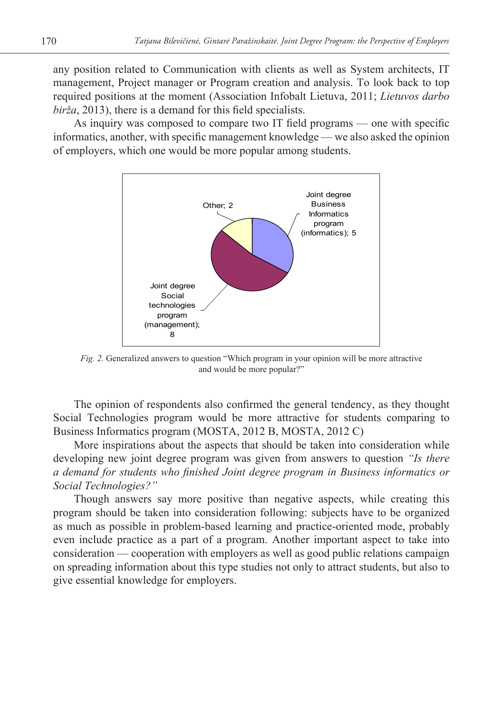any position related to Communication with clients as well as System architects, IT management, Project manager or Program creation and analysis. To look back to top required positions at the moment (Association Infobalt Lietuva, 2011; *Lietuvos darbo birža*, 2013), there is a demand for this field specialists.

As inquiry was composed to compare two IT field programs — one with specific informatics, another, with specific management knowledge — we also asked the opinion of employers, which one would be more popular among students.



*Fig. 2.* Generalized answers to question "Which program in your opinion will be more attractive and would be more popular?"

The opinion of respondents also confirmed the general tendency, as they thought Social Technologies program would be more attractive for students comparing to Business Informatics program (MOSTA, 2012 B, MOSTA, 2012 C)

More inspirations about the aspects that should be taken into consideration while developing new joint degree program was given from answers to question *"Is there a demand for students who finished Joint degree program in Business informatics or Social Technologies?"*

Though answers say more positive than negative aspects, while creating this program should be taken into consideration following: subjects have to be organized as much as possible in problem-based learning and practice-oriented mode, probably even include practice as a part of a program. Another important aspect to take into consideration — cooperation with employers as well as good public relations campaign on spreading information about this type studies not only to attract students, but also to give essential knowledge for employers.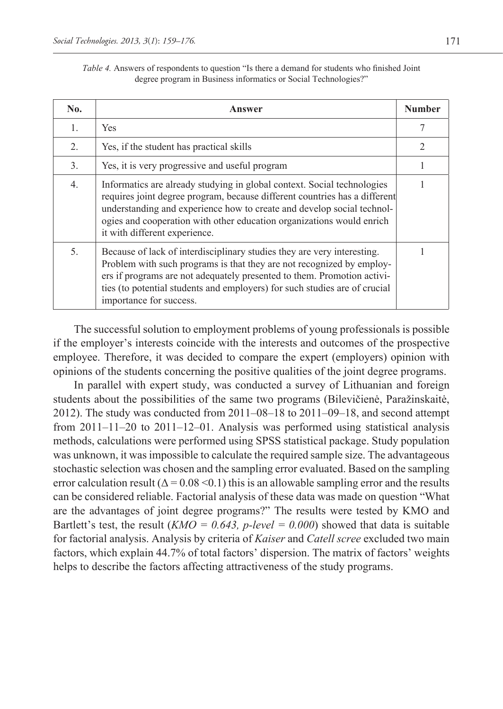| <i>Table 4.</i> Answers of respondents to question "Is there a demand for students who finished Joint" |
|--------------------------------------------------------------------------------------------------------|
| degree program in Business informatics or Social Technologies?"                                        |

| No.              | Answer                                                                                                                                                                                                                                                                                                                                    | <b>Number</b> |
|------------------|-------------------------------------------------------------------------------------------------------------------------------------------------------------------------------------------------------------------------------------------------------------------------------------------------------------------------------------------|---------------|
| $\mathbf{1}$ .   | <b>Yes</b>                                                                                                                                                                                                                                                                                                                                | 7             |
| 2.               | Yes, if the student has practical skills                                                                                                                                                                                                                                                                                                  | 2             |
| 3.               | Yes, it is very progressive and useful program                                                                                                                                                                                                                                                                                            |               |
| $\overline{4}$ . | Informatics are already studying in global context. Social technologies<br>requires joint degree program, because different countries has a different<br>understanding and experience how to create and develop social technol-<br>ogies and cooperation with other education organizations would enrich<br>it with different experience. |               |
| 5.               | Because of lack of interdisciplinary studies they are very interesting.<br>Problem with such programs is that they are not recognized by employ-<br>ers if programs are not adequately presented to them. Promotion activi-<br>ties (to potential students and employers) for such studies are of crucial<br>importance for success.      |               |

The successful solution to employment problems of young professionals is possible if the employer's interests coincide with the interests and outcomes of the prospective employee. Therefore, it was decided to compare the expert (employers) opinion with opinions of the students concerning the positive qualities of the joint degree programs.

In parallel with expert study, was conducted a survey of Lithuanian and foreign students about the possibilities of the same two programs (Bilevičienė, Paražinskaitė, 2012). The study was conducted from 2011–08–18 to 2011–09–18, and second attempt from  $2011-11-20$  to  $2011-12-01$ . Analysis was performed using statistical analysis methods, calculations were performed using SPSS statistical package. Study population was unknown, it was impossible to calculate the required sample size. The advantageous stochastic selection was chosen and the sampling error evaluated. Based on the sampling error calculation result  $(\Delta = 0.08 \le 0.1)$  this is an allowable sampling error and the results can be considered reliable. Factorial analysis of these data was made on question "What are the advantages of joint degree programs?" The results were tested by KMO and Bartlett's test, the result (*KMO* = 0.643, *p*-level = 0.000) showed that data is suitable for factorial analysis. Analysis by criteria of *Kaiser* and *Catell scree* excluded two main factors, which explain 44.7% of total factors' dispersion. The matrix of factors' weights helps to describe the factors affecting attractiveness of the study programs.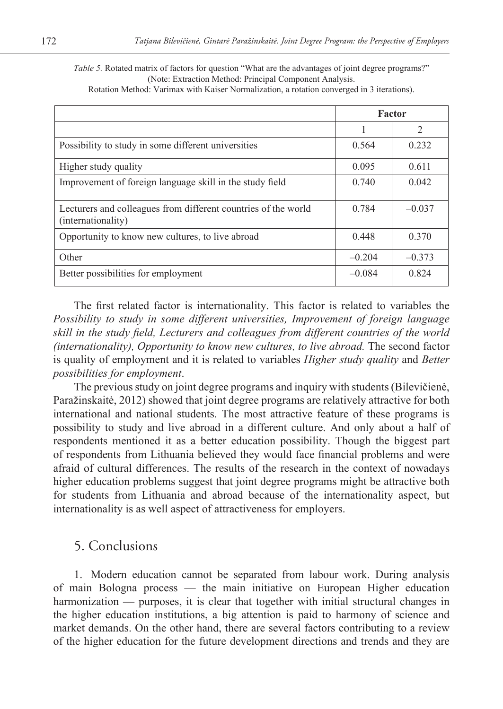*Table 5.* Rotated matrix of factors for question "What are the advantages of joint degree programs?" (Note: Extraction Method: Principal Component Analysis.

|  | Rotation Method: Varimax with Kaiser Normalization, a rotation converged in 3 iterations). |  |  |  |  |
|--|--------------------------------------------------------------------------------------------|--|--|--|--|
|--|--------------------------------------------------------------------------------------------|--|--|--|--|

|                                                                                      | <b>Factor</b> |                |
|--------------------------------------------------------------------------------------|---------------|----------------|
|                                                                                      |               | $\mathfrak{D}$ |
| Possibility to study in some different universities                                  | 0.564         | 0.232          |
| Higher study quality                                                                 | 0.095         | 0.611          |
| Improvement of foreign language skill in the study field                             | 0.740         | 0.042          |
| Lecturers and colleagues from different countries of the world<br>(internationality) | 0.784         | $-0.037$       |
| Opportunity to know new cultures, to live abroad                                     | 0.448         | 0.370          |
| Other                                                                                | $-0.204$      | $-0.373$       |
| Better possibilities for employment                                                  | $-0.084$      | 0.824          |

The first related factor is internationality. This factor is related to variables the *Possibility to study in some different universities, Improvement of foreign language skill in the study field, Lecturers and colleagues from different countries of the world (internationality), Opportunity to know new cultures, to live abroad. The second factor* is quality of employment and it is related to variables *Higher study quality* and *Better possibilities for employment*.

The previous study on joint degree programs and inquiry with students (Bilevičienė, Paražinskaitė, 2012) showed that joint degree programs are relatively attractive for both international and national students. The most attractive feature of these programs is possibility to study and live abroad in a different culture. And only about a half of respondents mentioned it as a better education possibility. Though the biggest part of respondents from Lithuania believed they would face financial problems and were afraid of cultural differences. The results of the research in the context of nowadays higher education problems suggest that joint degree programs might be attractive both for students from Lithuania and abroad because of the internationality aspect, but internationality is as well aspect of attractiveness for employers.

#### 5. Conclusions

1. Modern education cannot be separated from labour work. During analysis of main Bologna process — the main initiative on European Higher education harmonization — purposes, it is clear that together with initial structural changes in the higher education institutions, a big attention is paid to harmony of science and market demands. On the other hand, there are several factors contributing to a review of the higher education for the future development directions and trends and they are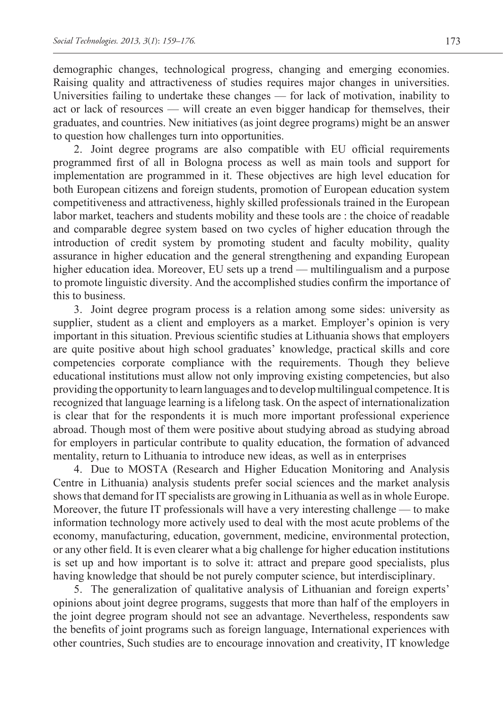demographic changes, technological progress, changing and emerging economies. Raising quality and attractiveness of studies requires major changes in universities. Universities failing to undertake these changes — for lack of motivation, inability to act or lack of resources — will create an even bigger handicap for themselves, their graduates, and countries. New initiatives (as joint degree programs) might be an answer to question how challenges turn into opportunities.

2. Joint degree programs are also compatible with EU official requirements programmed first of all in Bologna process as well as main tools and support for implementation are programmed in it. These objectives are high level education for both European citizens and foreign students, promotion of European education system competitiveness and attractiveness, highly skilled professionals trained in the European labor market, teachers and students mobility and these tools are : the choice of readable and comparable degree system based on two cycles of higher education through the introduction of credit system by promoting student and faculty mobility, quality assurance in higher education and the general strengthening and expanding European higher education idea. Moreover, EU sets up a trend — multilingualism and a purpose to promote linguistic diversity. And the accomplished studies confirm the importance of this to business.

3. Joint degree program process is a relation among some sides: university as supplier, student as a client and employers as a market. Employer's opinion is very important in this situation. Previous scientific studies at Lithuania shows that employers are quite positive about high school graduates' knowledge, practical skills and core competencies corporate compliance with the requirements. Though they believe educational institutions must allow not only improving existing competencies, but also providing the opportunity to learn languages and to develop multilingual competence. It is recognized that language learning is a lifelong task. On the aspect of internationalization is clear that for the respondents it is much more important professional experience abroad. Though most of them were positive about studying abroad as studying abroad for employers in particular contribute to quality education, the formation of advanced mentality, return to Lithuania to introduce new ideas, as well as in enterprises

4. Due to MOSTA (Research and Higher Education Monitoring and Analysis Centre in Lithuania) analysis students prefer social sciences and the market analysis shows that demand for IT specialists are growing in Lithuania as well as in whole Europe. Moreover, the future IT professionals will have a very interesting challenge — to make information technology more actively used to deal with the most acute problems of the economy, manufacturing, education, government, medicine, environmental protection, or any other field. It is even clearer what a big challenge for higher education institutions is set up and how important is to solve it: attract and prepare good specialists, plus having knowledge that should be not purely computer science, but interdisciplinary.

5. The generalization of qualitative analysis of Lithuanian and foreign experts' opinions about joint degree programs, suggests that more than half of the employers in the joint degree program should not see an advantage. Nevertheless, respondents saw the benefits of joint programs such as foreign language, International experiences with other countries, Such studies are to encourage innovation and creativity, IT knowledge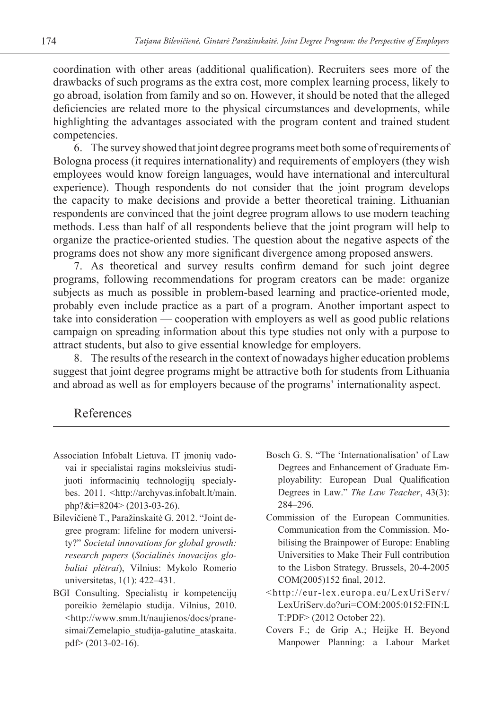coordination with other areas (additional qualification). Recruiters sees more of the drawbacks of such programs as the extra cost, more complex learning process, likely to go abroad, isolation from family and so on. However, it should be noted that the alleged deficiencies are related more to the physical circumstances and developments, while highlighting the advantages associated with the program content and trained student competencies.

6. The survey showed that joint degree programs meet both some of requirements of Bologna process (it requires internationality) and requirements of employers (they wish employees would know foreign languages, would have international and intercultural experience). Though respondents do not consider that the joint program develops the capacity to make decisions and provide a better theoretical training. Lithuanian respondents are convinced that the joint degree program allows to use modern teaching methods. Less than half of all respondents believe that the joint program will help to organize the practice-oriented studies. The question about the negative aspects of the programs does not show any more significant divergence among proposed answers.

7. As theoretical and survey results confirm demand for such joint degree programs, following recommendations for program creators can be made: organize subjects as much as possible in problem-based learning and practice-oriented mode, probably even include practice as a part of a program. Another important aspect to take into consideration — cooperation with employers as well as good public relations campaign on spreading information about this type studies not only with a purpose to attract students, but also to give essential knowledge for employers.

8. The results of the research in the context of nowadays higher education problems suggest that joint degree programs might be attractive both for students from Lithuania and abroad as well as for employers because of the programs' internationality aspect.

#### References

- Association Infobalt Lietuva. IT įmonių vadovai ir specialistai ragins moksleivius studijuoti informacinių technologijų specialybes. 2011. <http://archyvas.infobalt.lt/main. php?&i=8204> (2013-03-26).
- Bilevičienė T., Paražinskaitė G. 2012. "Joint degree program: lifeline for modern university?" *Societal innovations for global growth: research papers* (*Socialinės inovacijos globaliai plėtrai*), Vilnius: Mykolo Romerio universitetas, 1(1): 422–431.
- BGI Consulting. Specialistų ir kompetencijų poreikio žemėlapio studija. Vilnius, 2010. <http://www.smm.lt/naujienos/docs/pranesimai/Zemelapio\_studija-galutine\_ataskaita. pdf> (2013-02-16).
- Bosch G. S. "The 'Internationalisation' of Law Degrees and Enhancement of Graduate Employability: European Dual Qualification Degrees in Law." *The Law Teacher*, 43(3): 284–296.
- Commission of the European Communities. Communication from the Commission. Mobilising the Brainpower of Europe: Enabling Universities to Make Their Full contribution to the Lisbon Strategy. Brussels, 20-4-2005 COM(2005)152 final, 2012.
- <http://eur-lex.europa.eu/LexUriServ/ LexUriServ.do?uri=COM:2005:0152:FIN:L T:PDF> (2012 October 22).
- Covers F.; de Grip A.; Heijke H. Beyond Manpower Planning: a Labour Market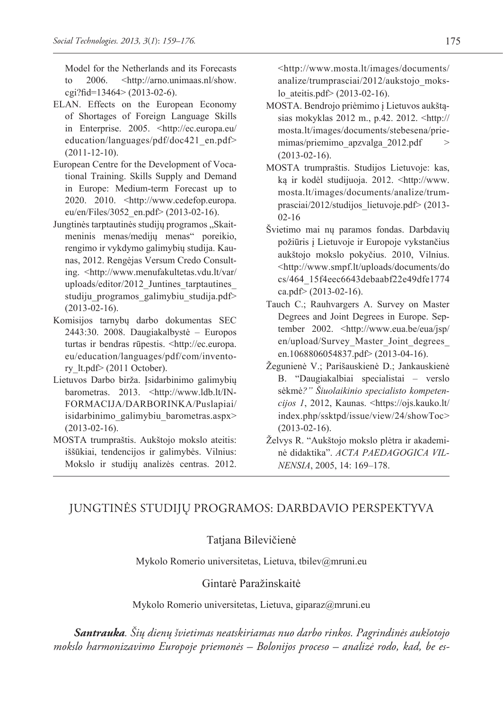Model for the Netherlands and its Forecasts to 2006. <http://arno.unimaas.nl/show. cgi?fid=13464> (2013-02-6).

- ELAN. Effects on the European Economy of Shortages of Foreign Language Skills in Enterprise. 2005. <http://ec.europa.eu/ education/languages/pdf/doc421\_en.pdf> (2011-12-10).
- European Centre for the Development of Vocational Training. Skills Supply and Demand in Europe: Medium-term Forecast up to 2020. 2010. <http://www.cedefop.europa. eu/en/Files/3052\_en.pdf> (2013-02-16).
- Jungtinės tarptautinės studijų programos "Skaitmeninis menas/medijų menas" poreikio, rengimo ir vykdymo galimybių studija. Kaunas, 2012. Rengėjas Versum Credo Consulting. <http://www.menufakultetas.vdu.lt/var/ uploads/editor/2012\_Juntines\_tarptautines\_ studiju programos galimybiu studija.pdf> (2013-02-16).
- Komisijos tarnybų darbo dokumentas SEC 2443:30. 2008. Daugiakalbystė – Europos turtas ir bendras rūpestis. <http://ec.europa. eu/education/languages/pdf/com/inventory lt.pdf> (2011 October).
- Lietuvos Darbo birža. Įsidarbinimo galimybių barometras. 2013. <http://www.ldb.lt/IN-FORMACIJA/DARBORINKA/Puslapiai/ isidarbinimo\_galimybiu\_barometras.aspx> (2013-02-16).
- MOSTA trumpraštis. Aukštojo mokslo ateitis: iššūkiai, tendencijos ir galimybės. Vilnius: Mokslo ir studijų analizės centras. 2012.

<http://www.mosta.lt/images/documents/ analize/trumprasciai/2012/aukstojo\_mokslo\_ateitis.pdf> (2013-02-16).

- MOSTA. Bendrojo priėmimo į Lietuvos aukštąsias mokyklas 2012 m., p.42. 2012. <http:// mosta.lt/images/documents/stebesena/priemimas/priemimo\_apzvalga\_2012.pdf > (2013-02-16).
- MOSTA trumpraštis. Studijos Lietuvoje: kas, ką ir kodėl studijuoja. 2012. <http://www. mosta.lt/images/documents/analize/trumprasciai/2012/studijos\_lietuvoje.pdf> (2013- 02-16
- Švietimo mai nų paramos fondas. Darbdavių požiūris į Lietuvoje ir Europoje vykstančius aukštojo mokslo pokyčius. 2010, Vilnius. <http://www.smpf.lt/uploads/documents/do cs/464\_15f4eec6643debaabf22e49dfe1774 ca.pdf> (2013-02-16).
- Tauch C.; Rauhvargers A. Survey on Master Degrees and Joint Degrees in Europe. September 2002. <http://www.eua.be/eua/jsp/ en/upload/Survey\_Master\_Joint\_degrees\_ en.1068806054837.pdf> (2013-04-16).
- Žegunienė V.; Parišauskienė D.; Jankauskienė B. "Daugiakalbiai specialistai – verslo sėkmė*?" Šiuolaikinio specialisto kompetencijos 1*, 2012, Kaunas. <https://ojs.kauko.lt/ index.php/ssktpd/issue/view/24/showToc> (2013-02-16).
- Želvys R. "Aukštojo mokslo plėtra ir akademinė didaktika". *ACTA PAEDAGOGICA VIL-NENSIA*, 2005, 14: 169–178.

# JUNGTINĖS STUDIJŲ PROGRAMOS: DARBDAVIO PERSPEKTYVA

#### Tatjana Bilevičienė

Mykolo Romerio universitetas, Lietuva, tbilev@mruni.eu

#### Gintarė Paražinskaitė

Mykolo Romerio universitetas, Lietuva, giparaz@mruni.eu

*Santrauka. Šių dienų švietimas neatskiriamas nuo darbo rinkos. Pagrindinės aukšotojo mokslo harmonizavimo Europoje priemonės – Bolonijos proceso – analizė rodo, kad, be es-*